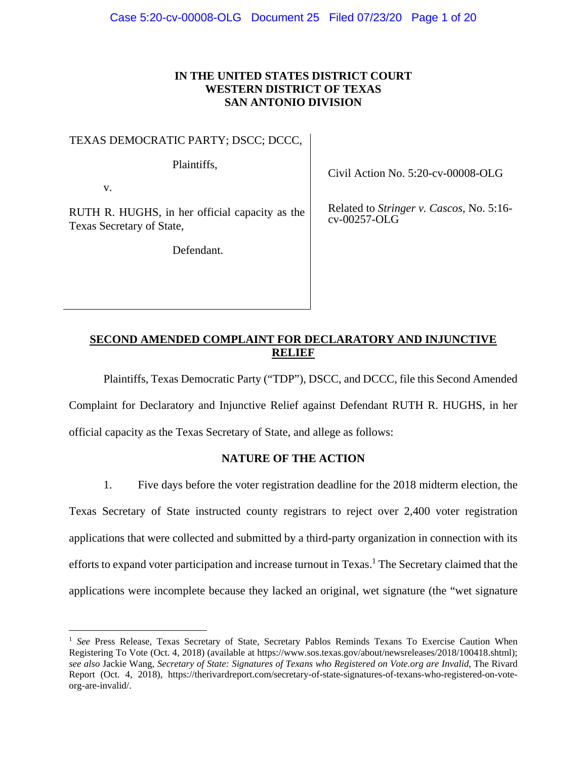# **IN THE UNITED STATES DISTRICT COURT WESTERN DISTRICT OF TEXAS SAN ANTONIO DIVISION**

TEXAS DEMOCRATIC PARTY; DSCC; DCCC,

Plaintiffs,

v.

 $\overline{a}$ 

RUTH R. HUGHS, in her official capacity as the Texas Secretary of State,

Defendant.

Civil Action No. 5:20-cv-00008-OLG

Related to *Stringer v. Cascos*, No. 5:16 cv-00257-OLG

# **SECOND AMENDED COMPLAINT FOR DECLARATORY AND INJUNCTIVE RELIEF**

Plaintiffs, Texas Democratic Party ("TDP"), DSCC, and DCCC, file this Second Amended

Complaint for Declaratory and Injunctive Relief against Defendant RUTH R. HUGHS, in her

official capacity as the Texas Secretary of State, and allege as follows:

### **NATURE OF THE ACTION**

1. Five days before the voter registration deadline for the 2018 midterm election, the Texas Secretary of State instructed county registrars to reject over 2,400 voter registration applications that were collected and submitted by a third-party organization in connection with its efforts to expand voter participation and increase turnout in Texas.<sup>1</sup> The Secretary claimed that the applications were incomplete because they lacked an original, wet signature (the "wet signature

<sup>&</sup>lt;sup>1</sup> See Press Release, Texas Secretary of State, Secretary Pablos Reminds Texans To Exercise Caution When Registering To Vote (Oct. 4, 2018) (available at https://www.sos.texas.gov/about/newsreleases/2018/100418.shtml); *see also* Jackie Wang, *Secretary of State: Signatures of Texans who Registered on Vote.org are Invalid*, The Rivard Report (Oct. 4, 2018), https://therivardreport.com/secretary-of-state-signatures-of-texans-who-registered-on-voteorg-are-invalid/.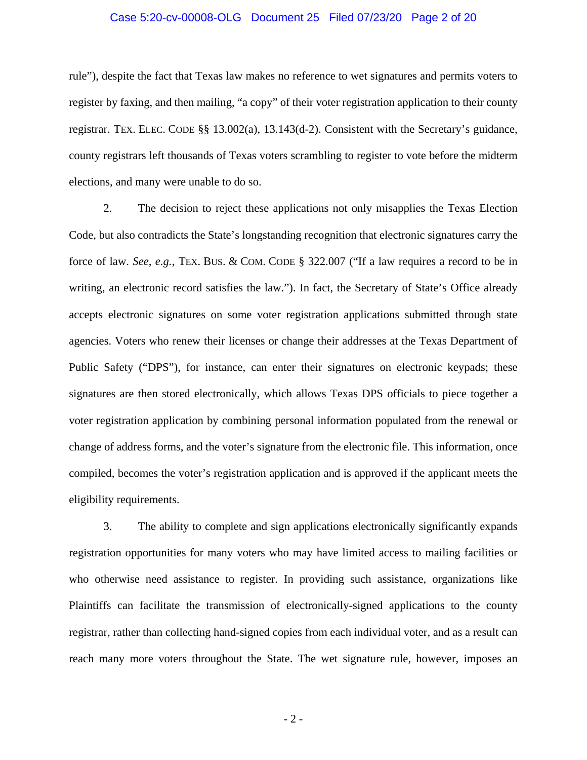#### Case 5:20-cv-00008-OLG Document 25 Filed 07/23/20 Page 2 of 20

rule"), despite the fact that Texas law makes no reference to wet signatures and permits voters to register by faxing, and then mailing, "a copy" of their voter registration application to their county registrar. TEX. ELEC. CODE §§ 13.002(a), 13.143(d-2). Consistent with the Secretary's guidance, county registrars left thousands of Texas voters scrambling to register to vote before the midterm elections, and many were unable to do so.

2. The decision to reject these applications not only misapplies the Texas Election Code, but also contradicts the State's longstanding recognition that electronic signatures carry the force of law. *See, e.g.*, TEX. BUS. & COM. CODE § 322.007 ("If a law requires a record to be in writing, an electronic record satisfies the law."). In fact, the Secretary of State's Office already accepts electronic signatures on some voter registration applications submitted through state agencies. Voters who renew their licenses or change their addresses at the Texas Department of Public Safety ("DPS"), for instance, can enter their signatures on electronic keypads; these signatures are then stored electronically, which allows Texas DPS officials to piece together a voter registration application by combining personal information populated from the renewal or change of address forms, and the voter's signature from the electronic file. This information, once compiled, becomes the voter's registration application and is approved if the applicant meets the eligibility requirements.

3. The ability to complete and sign applications electronically significantly expands registration opportunities for many voters who may have limited access to mailing facilities or who otherwise need assistance to register. In providing such assistance, organizations like Plaintiffs can facilitate the transmission of electronically-signed applications to the county registrar, rather than collecting hand-signed copies from each individual voter, and as a result can reach many more voters throughout the State. The wet signature rule, however, imposes an

 $-2-$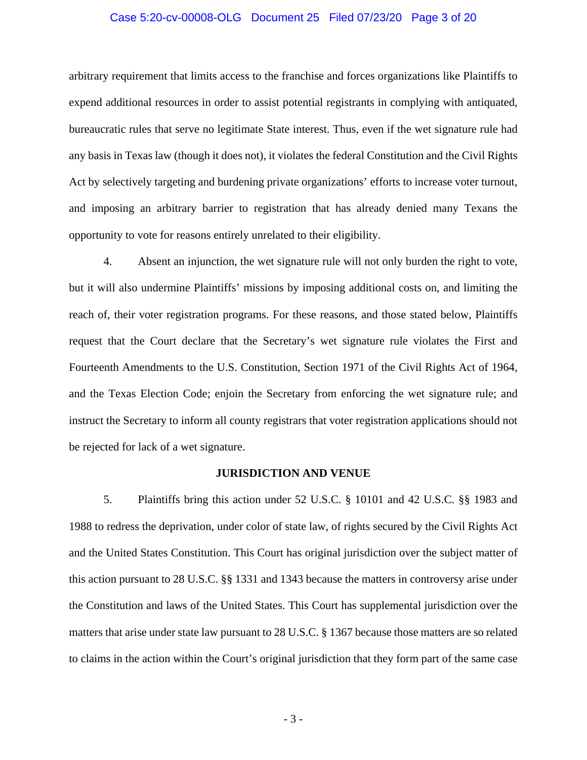#### Case 5:20-cv-00008-OLG Document 25 Filed 07/23/20 Page 3 of 20

arbitrary requirement that limits access to the franchise and forces organizations like Plaintiffs to expend additional resources in order to assist potential registrants in complying with antiquated, bureaucratic rules that serve no legitimate State interest. Thus, even if the wet signature rule had any basis in Texas law (though it does not), it violates the federal Constitution and the Civil Rights Act by selectively targeting and burdening private organizations' efforts to increase voter turnout, and imposing an arbitrary barrier to registration that has already denied many Texans the opportunity to vote for reasons entirely unrelated to their eligibility.

4. Absent an injunction, the wet signature rule will not only burden the right to vote, but it will also undermine Plaintiffs' missions by imposing additional costs on, and limiting the reach of, their voter registration programs. For these reasons, and those stated below, Plaintiffs request that the Court declare that the Secretary's wet signature rule violates the First and Fourteenth Amendments to the U.S. Constitution, Section 1971 of the Civil Rights Act of 1964, and the Texas Election Code; enjoin the Secretary from enforcing the wet signature rule; and instruct the Secretary to inform all county registrars that voter registration applications should not be rejected for lack of a wet signature.

#### **JURISDICTION AND VENUE**

5. Plaintiffs bring this action under 52 U.S.C. § 10101 and 42 U.S.C. §§ 1983 and 1988 to redress the deprivation, under color of state law, of rights secured by the Civil Rights Act and the United States Constitution. This Court has original jurisdiction over the subject matter of this action pursuant to 28 U.S.C. §§ 1331 and 1343 because the matters in controversy arise under the Constitution and laws of the United States. This Court has supplemental jurisdiction over the matters that arise under state law pursuant to 28 U.S.C. § 1367 because those matters are so related to claims in the action within the Court's original jurisdiction that they form part of the same case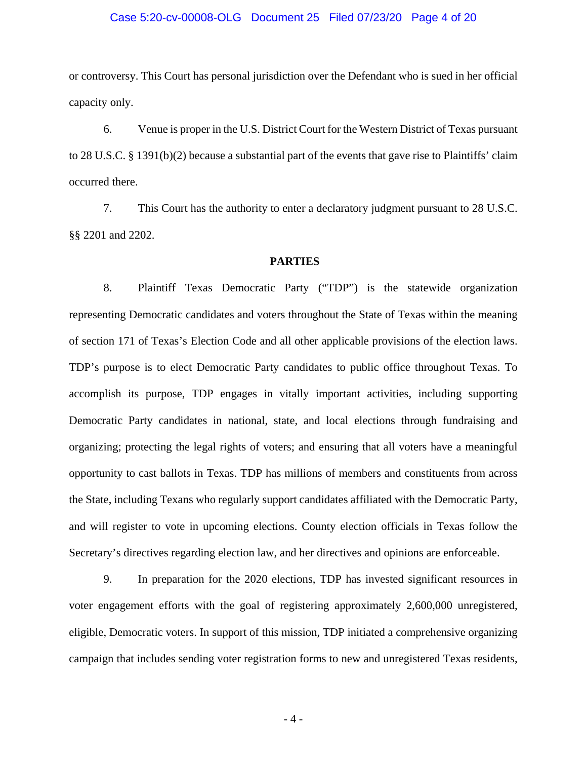#### Case 5:20-cv-00008-OLG Document 25 Filed 07/23/20 Page 4 of 20

or controversy. This Court has personal jurisdiction over the Defendant who is sued in her official capacity only.

6. Venue is proper in the U.S. District Court for the Western District of Texas pursuant to 28 U.S.C. § 1391(b)(2) because a substantial part of the events that gave rise to Plaintiffs' claim occurred there.

7. This Court has the authority to enter a declaratory judgment pursuant to 28 U.S.C. §§ 2201 and 2202.

#### **PARTIES**

8. Plaintiff Texas Democratic Party ("TDP") is the statewide organization representing Democratic candidates and voters throughout the State of Texas within the meaning of section 171 of Texas's Election Code and all other applicable provisions of the election laws. TDP's purpose is to elect Democratic Party candidates to public office throughout Texas. To accomplish its purpose, TDP engages in vitally important activities, including supporting Democratic Party candidates in national, state, and local elections through fundraising and organizing; protecting the legal rights of voters; and ensuring that all voters have a meaningful opportunity to cast ballots in Texas. TDP has millions of members and constituents from across the State, including Texans who regularly support candidates affiliated with the Democratic Party, and will register to vote in upcoming elections. County election officials in Texas follow the Secretary's directives regarding election law, and her directives and opinions are enforceable.

9. In preparation for the 2020 elections, TDP has invested significant resources in voter engagement efforts with the goal of registering approximately 2,600,000 unregistered, eligible, Democratic voters. In support of this mission, TDP initiated a comprehensive organizing campaign that includes sending voter registration forms to new and unregistered Texas residents,

 $-4-$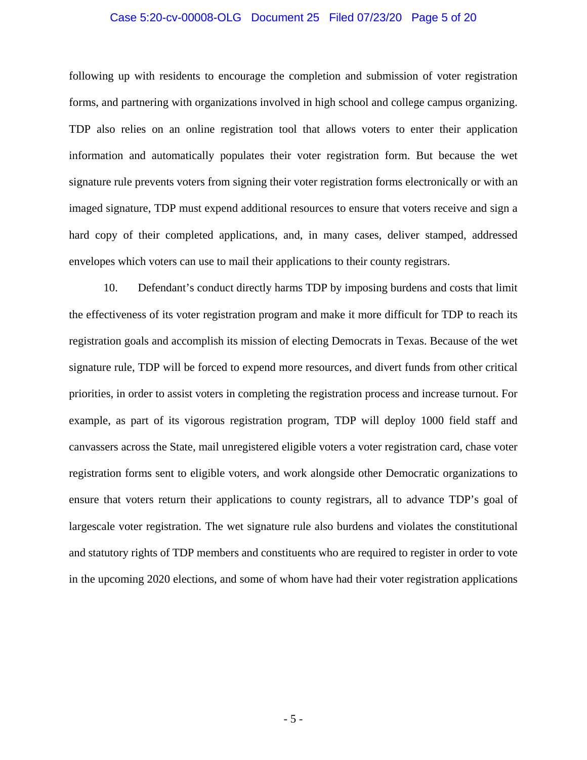#### Case 5:20-cv-00008-OLG Document 25 Filed 07/23/20 Page 5 of 20

following up with residents to encourage the completion and submission of voter registration forms, and partnering with organizations involved in high school and college campus organizing. TDP also relies on an online registration tool that allows voters to enter their application information and automatically populates their voter registration form. But because the wet signature rule prevents voters from signing their voter registration forms electronically or with an imaged signature, TDP must expend additional resources to ensure that voters receive and sign a hard copy of their completed applications, and, in many cases, deliver stamped, addressed envelopes which voters can use to mail their applications to their county registrars.

10. Defendant's conduct directly harms TDP by imposing burdens and costs that limit the effectiveness of its voter registration program and make it more difficult for TDP to reach its registration goals and accomplish its mission of electing Democrats in Texas. Because of the wet signature rule, TDP will be forced to expend more resources, and divert funds from other critical priorities, in order to assist voters in completing the registration process and increase turnout. For example, as part of its vigorous registration program, TDP will deploy 1000 field staff and canvassers across the State, mail unregistered eligible voters a voter registration card, chase voter registration forms sent to eligible voters, and work alongside other Democratic organizations to ensure that voters return their applications to county registrars, all to advance TDP's goal of largescale voter registration. The wet signature rule also burdens and violates the constitutional and statutory rights of TDP members and constituents who are required to register in order to vote in the upcoming 2020 elections, and some of whom have had their voter registration applications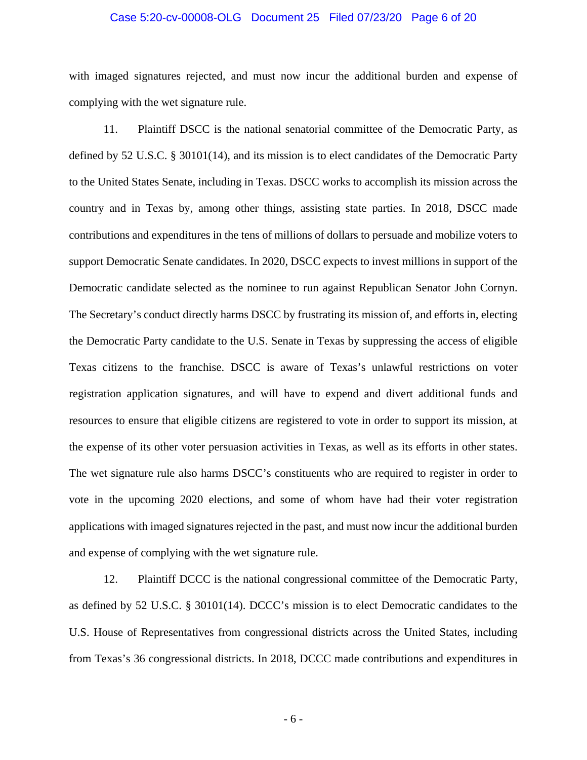#### Case 5:20-cv-00008-OLG Document 25 Filed 07/23/20 Page 6 of 20

with imaged signatures rejected, and must now incur the additional burden and expense of complying with the wet signature rule.

11. Plaintiff DSCC is the national senatorial committee of the Democratic Party, as defined by 52 U.S.C. § 30101(14), and its mission is to elect candidates of the Democratic Party to the United States Senate, including in Texas. DSCC works to accomplish its mission across the country and in Texas by, among other things, assisting state parties. In 2018, DSCC made contributions and expenditures in the tens of millions of dollars to persuade and mobilize voters to support Democratic Senate candidates. In 2020, DSCC expects to invest millions in support of the Democratic candidate selected as the nominee to run against Republican Senator John Cornyn. The Secretary's conduct directly harms DSCC by frustrating its mission of, and efforts in, electing the Democratic Party candidate to the U.S. Senate in Texas by suppressing the access of eligible Texas citizens to the franchise. DSCC is aware of Texas's unlawful restrictions on voter registration application signatures, and will have to expend and divert additional funds and resources to ensure that eligible citizens are registered to vote in order to support its mission, at the expense of its other voter persuasion activities in Texas, as well as its efforts in other states. The wet signature rule also harms DSCC's constituents who are required to register in order to vote in the upcoming 2020 elections, and some of whom have had their voter registration applications with imaged signatures rejected in the past, and must now incur the additional burden and expense of complying with the wet signature rule.

12. Plaintiff DCCC is the national congressional committee of the Democratic Party, as defined by 52 U.S.C. § 30101(14). DCCC's mission is to elect Democratic candidates to the U.S. House of Representatives from congressional districts across the United States, including from Texas's 36 congressional districts. In 2018, DCCC made contributions and expenditures in

 $-6-$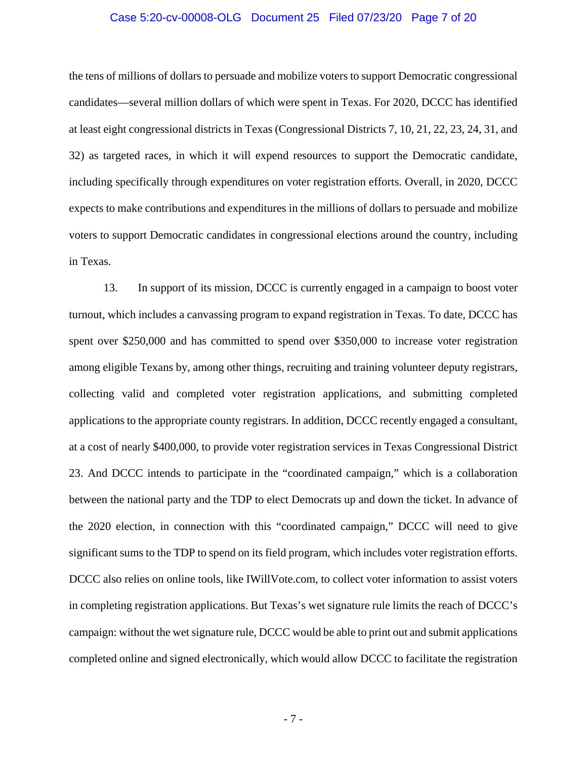#### Case 5:20-cv-00008-OLG Document 25 Filed 07/23/20 Page 7 of 20

the tens of millions of dollars to persuade and mobilize voters to support Democratic congressional candidates—several million dollars of which were spent in Texas. For 2020, DCCC has identified at least eight congressional districts in Texas (Congressional Districts 7, 10, 21, 22, 23, 24, 31, and 32) as targeted races, in which it will expend resources to support the Democratic candidate, including specifically through expenditures on voter registration efforts. Overall, in 2020, DCCC expects to make contributions and expenditures in the millions of dollars to persuade and mobilize voters to support Democratic candidates in congressional elections around the country, including in Texas.

13. In support of its mission, DCCC is currently engaged in a campaign to boost voter turnout, which includes a canvassing program to expand registration in Texas. To date, DCCC has spent over \$250,000 and has committed to spend over \$350,000 to increase voter registration among eligible Texans by, among other things, recruiting and training volunteer deputy registrars, collecting valid and completed voter registration applications, and submitting completed applications to the appropriate county registrars. In addition, DCCC recently engaged a consultant, at a cost of nearly \$400,000, to provide voter registration services in Texas Congressional District 23. And DCCC intends to participate in the "coordinated campaign," which is a collaboration between the national party and the TDP to elect Democrats up and down the ticket. In advance of the 2020 election, in connection with this "coordinated campaign," DCCC will need to give significant sums to the TDP to spend on its field program, which includes voter registration efforts. DCCC also relies on online tools, like IWillVote.com, to collect voter information to assist voters in completing registration applications. But Texas's wet signature rule limits the reach of DCCC's campaign: without the wet signature rule, DCCC would be able to print out and submit applications completed online and signed electronically, which would allow DCCC to facilitate the registration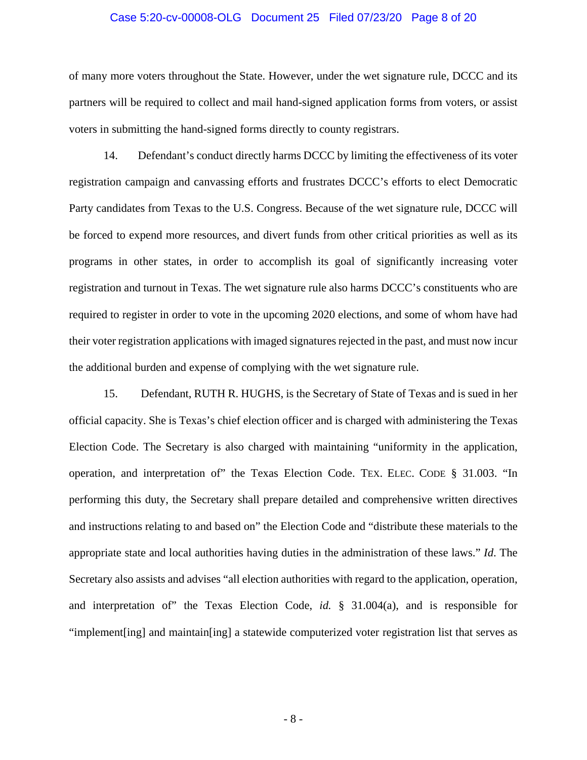#### Case 5:20-cv-00008-OLG Document 25 Filed 07/23/20 Page 8 of 20

of many more voters throughout the State. However, under the wet signature rule, DCCC and its partners will be required to collect and mail hand-signed application forms from voters, or assist voters in submitting the hand-signed forms directly to county registrars.

14. Defendant's conduct directly harms DCCC by limiting the effectiveness of its voter registration campaign and canvassing efforts and frustrates DCCC's efforts to elect Democratic Party candidates from Texas to the U.S. Congress. Because of the wet signature rule, DCCC will be forced to expend more resources, and divert funds from other critical priorities as well as its programs in other states, in order to accomplish its goal of significantly increasing voter registration and turnout in Texas. The wet signature rule also harms DCCC's constituents who are required to register in order to vote in the upcoming 2020 elections, and some of whom have had their voter registration applications with imaged signatures rejected in the past, and must now incur the additional burden and expense of complying with the wet signature rule.

15. Defendant, RUTH R. HUGHS, is the Secretary of State of Texas and is sued in her official capacity. She is Texas's chief election officer and is charged with administering the Texas Election Code. The Secretary is also charged with maintaining "uniformity in the application, operation, and interpretation of" the Texas Election Code. TEX. ELEC. CODE § 31.003. "In performing this duty, the Secretary shall prepare detailed and comprehensive written directives and instructions relating to and based on" the Election Code and "distribute these materials to the appropriate state and local authorities having duties in the administration of these laws." *Id*. The Secretary also assists and advises "all election authorities with regard to the application, operation, and interpretation of" the Texas Election Code, *id.* § 31.004(a), and is responsible for "implement[ing] and maintain[ing] a statewide computerized voter registration list that serves as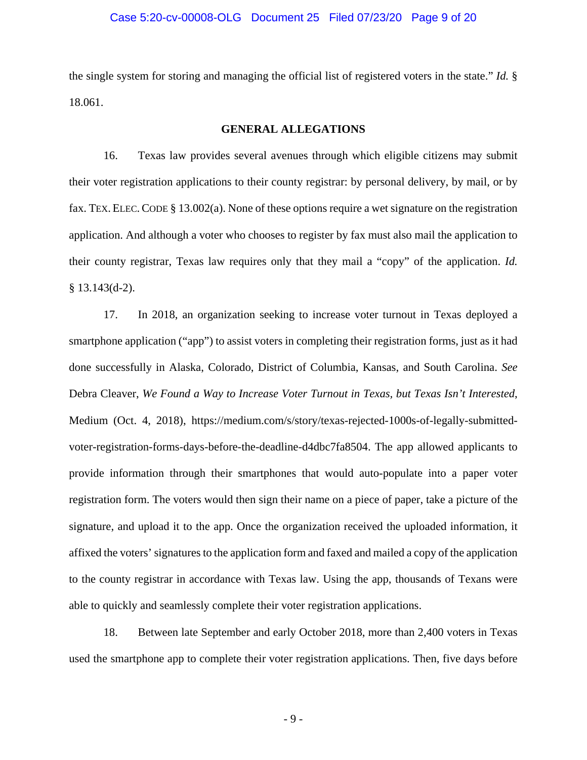#### Case 5:20-cv-00008-OLG Document 25 Filed 07/23/20 Page 9 of 20

the single system for storing and managing the official list of registered voters in the state." *Id.* § 18.061.

#### **GENERAL ALLEGATIONS**

16. Texas law provides several avenues through which eligible citizens may submit their voter registration applications to their county registrar: by personal delivery, by mail, or by fax. TEX. ELEC.CODE § 13.002(a). None of these options require a wet signature on the registration application. And although a voter who chooses to register by fax must also mail the application to their county registrar, Texas law requires only that they mail a "copy" of the application. *Id.*  § 13.143(d-2).

17. In 2018, an organization seeking to increase voter turnout in Texas deployed a smartphone application ("app") to assist voters in completing their registration forms, just as it had done successfully in Alaska, Colorado, District of Columbia, Kansas, and South Carolina. *See* Debra Cleaver, *We Found a Way to Increase Voter Turnout in Texas, but Texas Isn't Interested*, Medium (Oct. 4, 2018), https://medium.com/s/story/texas-rejected-1000s-of-legally-submittedvoter-registration-forms-days-before-the-deadline-d4dbc7fa8504. The app allowed applicants to provide information through their smartphones that would auto-populate into a paper voter registration form. The voters would then sign their name on a piece of paper, take a picture of the signature, and upload it to the app. Once the organization received the uploaded information, it affixed the voters' signatures to the application form and faxed and mailed a copy of the application to the county registrar in accordance with Texas law. Using the app, thousands of Texans were able to quickly and seamlessly complete their voter registration applications.

18. Between late September and early October 2018, more than 2,400 voters in Texas used the smartphone app to complete their voter registration applications. Then, five days before

 $-9-$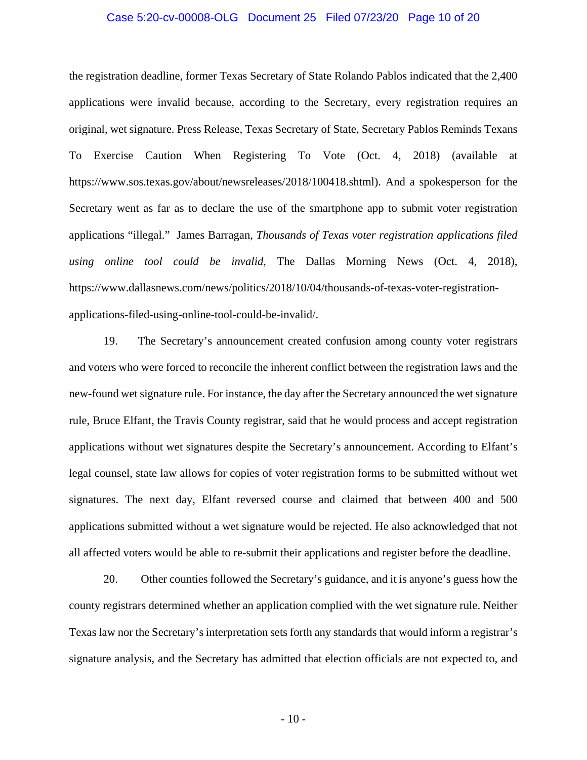#### Case 5:20-cv-00008-OLG Document 25 Filed 07/23/20 Page 10 of 20

the registration deadline, former Texas Secretary of State Rolando Pablos indicated that the 2,400 applications were invalid because, according to the Secretary, every registration requires an original, wet signature. Press Release, Texas Secretary of State, Secretary Pablos Reminds Texans To Exercise Caution When Registering To Vote (Oct. 4, 2018) (available at https://www.sos.texas.gov/about/newsreleases/2018/100418.shtml). And a spokesperson for the Secretary went as far as to declare the use of the smartphone app to submit voter registration applications "illegal." James Barragan, *Thousands of Texas voter registration applications filed using online tool could be invalid*, The Dallas Morning News (Oct. 4, 2018), https://www.dallasnews.com/news/politics/2018/10/04/thousands-of-texas-voter-registrationapplications-filed-using-online-tool-could-be-invalid/.

19. The Secretary's announcement created confusion among county voter registrars and voters who were forced to reconcile the inherent conflict between the registration laws and the new-found wet signature rule. For instance, the day after the Secretary announced the wet signature rule, Bruce Elfant, the Travis County registrar, said that he would process and accept registration applications without wet signatures despite the Secretary's announcement. According to Elfant's legal counsel, state law allows for copies of voter registration forms to be submitted without wet signatures. The next day, Elfant reversed course and claimed that between 400 and 500 applications submitted without a wet signature would be rejected. He also acknowledged that not all affected voters would be able to re-submit their applications and register before the deadline.

20. Other counties followed the Secretary's guidance, and it is anyone's guess how the county registrars determined whether an application complied with the wet signature rule. Neither Texas law nor the Secretary's interpretation sets forth any standards that would inform a registrar's signature analysis, and the Secretary has admitted that election officials are not expected to, and

 $-10-$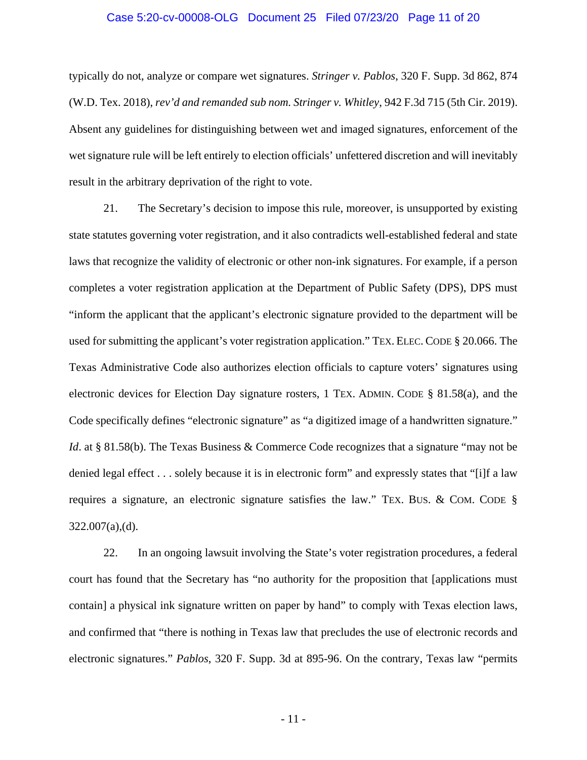#### Case 5:20-cv-00008-OLG Document 25 Filed 07/23/20 Page 11 of 20

typically do not, analyze or compare wet signatures. *Stringer v. Pablos*, 320 F. Supp. 3d 862, 874 (W.D. Tex. 2018), *rev'd and remanded sub nom. Stringer v. Whitley*, 942 F.3d 715 (5th Cir. 2019). Absent any guidelines for distinguishing between wet and imaged signatures, enforcement of the wet signature rule will be left entirely to election officials' unfettered discretion and will inevitably result in the arbitrary deprivation of the right to vote.

21. The Secretary's decision to impose this rule, moreover, is unsupported by existing state statutes governing voter registration, and it also contradicts well-established federal and state laws that recognize the validity of electronic or other non-ink signatures. For example, if a person completes a voter registration application at the Department of Public Safety (DPS), DPS must "inform the applicant that the applicant's electronic signature provided to the department will be used for submitting the applicant's voter registration application." TEX. ELEC. CODE § 20.066. The Texas Administrative Code also authorizes election officials to capture voters' signatures using electronic devices for Election Day signature rosters, 1 TEX. ADMIN. CODE § 81.58(a), and the Code specifically defines "electronic signature" as "a digitized image of a handwritten signature." *Id.* at § 81.58(b). The Texas Business & Commerce Code recognizes that a signature "may not be denied legal effect . . . solely because it is in electronic form" and expressly states that "[i]f a law requires a signature, an electronic signature satisfies the law." TEX. BUS. & COM. CODE § 322.007(a),(d).

22. In an ongoing lawsuit involving the State's voter registration procedures, a federal court has found that the Secretary has "no authority for the proposition that [applications must contain] a physical ink signature written on paper by hand" to comply with Texas election laws, and confirmed that "there is nothing in Texas law that precludes the use of electronic records and electronic signatures." *Pablos*, 320 F. Supp. 3d at 895-96. On the contrary, Texas law "permits

 $-11$  -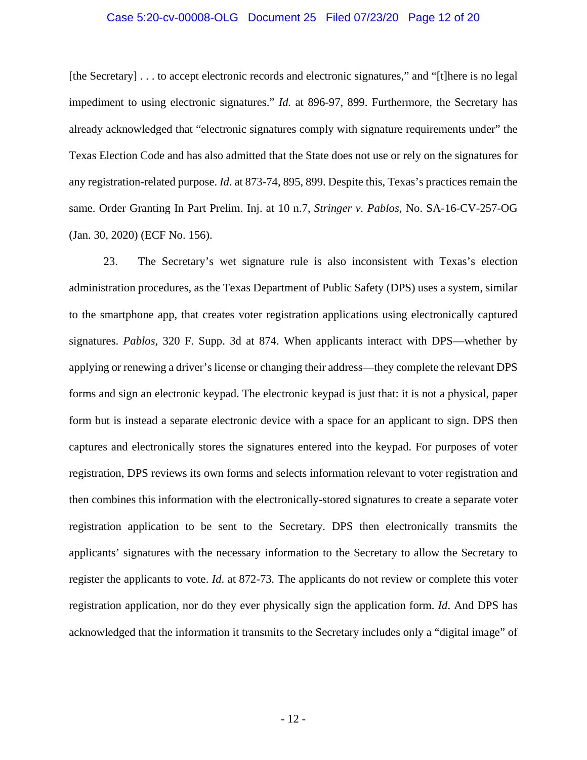#### Case 5:20-cv-00008-OLG Document 25 Filed 07/23/20 Page 12 of 20

[the Secretary] . . . to accept electronic records and electronic signatures," and "[t]here is no legal impediment to using electronic signatures." *Id.* at 896-97, 899. Furthermore, the Secretary has already acknowledged that "electronic signatures comply with signature requirements under" the Texas Election Code and has also admitted that the State does not use or rely on the signatures for any registration-related purpose. *Id*. at 873-74, 895, 899. Despite this, Texas's practices remain the same. Order Granting In Part Prelim. Inj. at 10 n.7, *Stringer v. Pablos*, No. SA-16-CV-257-OG (Jan. 30, 2020) (ECF No. 156).

23. The Secretary's wet signature rule is also inconsistent with Texas's election administration procedures, as the Texas Department of Public Safety (DPS) uses a system, similar to the smartphone app, that creates voter registration applications using electronically captured signatures. *Pablos*, 320 F. Supp. 3d at 874. When applicants interact with DPS—whether by applying or renewing a driver's license or changing their address—they complete the relevant DPS forms and sign an electronic keypad. The electronic keypad is just that: it is not a physical, paper form but is instead a separate electronic device with a space for an applicant to sign. DPS then captures and electronically stores the signatures entered into the keypad. For purposes of voter registration, DPS reviews its own forms and selects information relevant to voter registration and then combines this information with the electronically-stored signatures to create a separate voter registration application to be sent to the Secretary. DPS then electronically transmits the applicants' signatures with the necessary information to the Secretary to allow the Secretary to register the applicants to vote. *Id*. at 872-73*.* The applicants do not review or complete this voter registration application, nor do they ever physically sign the application form. *Id*. And DPS has acknowledged that the information it transmits to the Secretary includes only a "digital image" of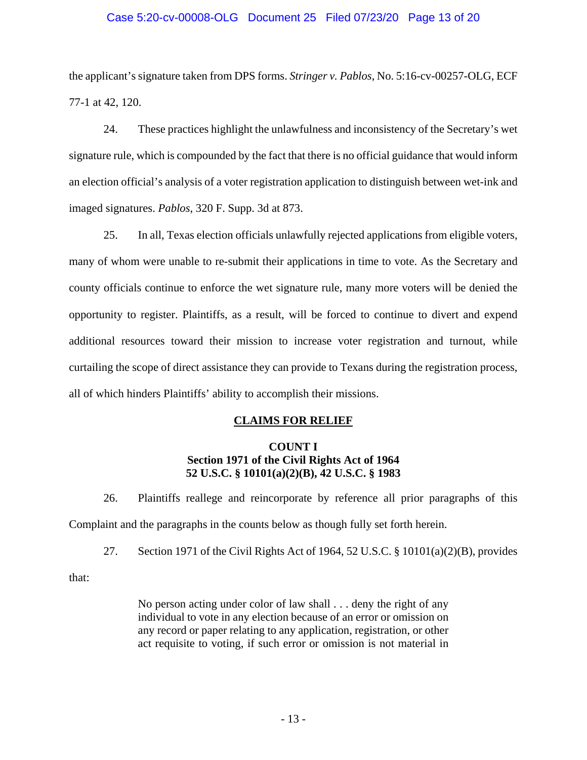### Case 5:20-cv-00008-OLG Document 25 Filed 07/23/20 Page 13 of 20

the applicant's signature taken from DPS forms. *Stringer v. Pablos*, No. 5:16-cv-00257-OLG, ECF 77-1 at 42, 120.

24. These practices highlight the unlawfulness and inconsistency of the Secretary's wet signature rule, which is compounded by the fact that there is no official guidance that would inform an election official's analysis of a voter registration application to distinguish between wet-ink and imaged signatures. *Pablos*, 320 F. Supp. 3d at 873.

25. In all, Texas election officials unlawfully rejected applications from eligible voters, many of whom were unable to re-submit their applications in time to vote. As the Secretary and county officials continue to enforce the wet signature rule, many more voters will be denied the opportunity to register. Plaintiffs, as a result, will be forced to continue to divert and expend additional resources toward their mission to increase voter registration and turnout, while curtailing the scope of direct assistance they can provide to Texans during the registration process, all of which hinders Plaintiffs' ability to accomplish their missions.

### **CLAIMS FOR RELIEF**

# **COUNT I Section 1971 of the Civil Rights Act of 1964 52 U.S.C. § 10101(a)(2)(B), 42 U.S.C. § 1983**

26. Plaintiffs reallege and reincorporate by reference all prior paragraphs of this Complaint and the paragraphs in the counts below as though fully set forth herein.

27. Section 1971 of the Civil Rights Act of 1964, 52 U.S.C. § 10101(a)(2)(B), provides

that:

No person acting under color of law shall . . . deny the right of any individual to vote in any election because of an error or omission on any record or paper relating to any application, registration, or other act requisite to voting, if such error or omission is not material in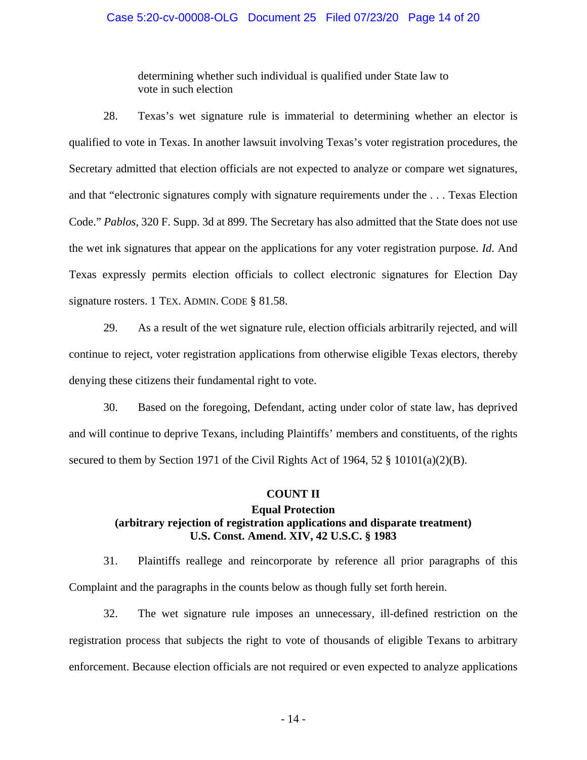#### Case 5:20-cv-00008-OLG Document 25 Filed 07/23/20 Page 14 of 20

determining whether such individual is qualified under State law to vote in such election

28. Texas's wet signature rule is immaterial to determining whether an elector is qualified to vote in Texas. In another lawsuit involving Texas's voter registration procedures, the Secretary admitted that election officials are not expected to analyze or compare wet signatures, and that "electronic signatures comply with signature requirements under the . . . Texas Election Code." *Pablos*, 320 F. Supp. 3d at 899. The Secretary has also admitted that the State does not use the wet ink signatures that appear on the applications for any voter registration purpose. *Id*. And Texas expressly permits election officials to collect electronic signatures for Election Day signature rosters. 1 TEX. ADMIN. CODE § 81.58.

29. As a result of the wet signature rule, election officials arbitrarily rejected, and will continue to reject, voter registration applications from otherwise eligible Texas electors, thereby denying these citizens their fundamental right to vote.

30. Based on the foregoing, Defendant, acting under color of state law, has deprived and will continue to deprive Texans, including Plaintiffs' members and constituents, of the rights secured to them by Section 1971 of the Civil Rights Act of 1964, 52 § 10101(a)(2)(B).

#### **COUNT II**

# **Equal Protection (arbitrary rejection of registration applications and disparate treatment) U.S. Const. Amend. XIV, 42 U.S.C. § 1983**

31. Plaintiffs reallege and reincorporate by reference all prior paragraphs of this Complaint and the paragraphs in the counts below as though fully set forth herein.

32. The wet signature rule imposes an unnecessary, ill-defined restriction on the registration process that subjects the right to vote of thousands of eligible Texans to arbitrary enforcement. Because election officials are not required or even expected to analyze applications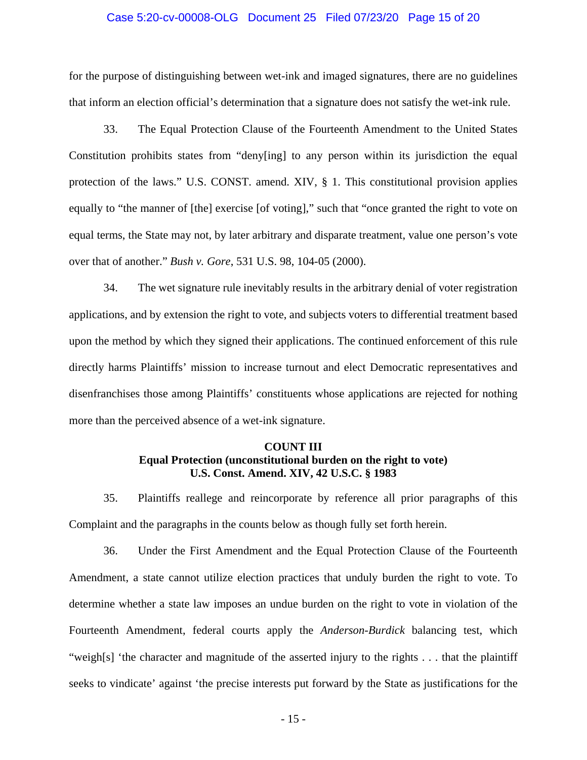#### Case 5:20-cv-00008-OLG Document 25 Filed 07/23/20 Page 15 of 20

for the purpose of distinguishing between wet-ink and imaged signatures, there are no guidelines that inform an election official's determination that a signature does not satisfy the wet-ink rule.

33. The Equal Protection Clause of the Fourteenth Amendment to the United States Constitution prohibits states from "deny[ing] to any person within its jurisdiction the equal protection of the laws." U.S. CONST. amend. XIV, § 1. This constitutional provision applies equally to "the manner of [the] exercise [of voting]," such that "once granted the right to vote on equal terms, the State may not, by later arbitrary and disparate treatment, value one person's vote over that of another." *Bush v. Gore*, 531 U.S. 98, 104-05 (2000).

34. The wet signature rule inevitably results in the arbitrary denial of voter registration applications, and by extension the right to vote, and subjects voters to differential treatment based upon the method by which they signed their applications. The continued enforcement of this rule directly harms Plaintiffs' mission to increase turnout and elect Democratic representatives and disenfranchises those among Plaintiffs' constituents whose applications are rejected for nothing more than the perceived absence of a wet-ink signature.

# **COUNT III Equal Protection (unconstitutional burden on the right to vote) U.S. Const. Amend. XIV, 42 U.S.C. § 1983**

35. Plaintiffs reallege and reincorporate by reference all prior paragraphs of this Complaint and the paragraphs in the counts below as though fully set forth herein.

36. Under the First Amendment and the Equal Protection Clause of the Fourteenth Amendment, a state cannot utilize election practices that unduly burden the right to vote. To determine whether a state law imposes an undue burden on the right to vote in violation of the Fourteenth Amendment, federal courts apply the *Anderson-Burdick* balancing test, which "weigh[s] 'the character and magnitude of the asserted injury to the rights . . . that the plaintiff seeks to vindicate' against 'the precise interests put forward by the State as justifications for the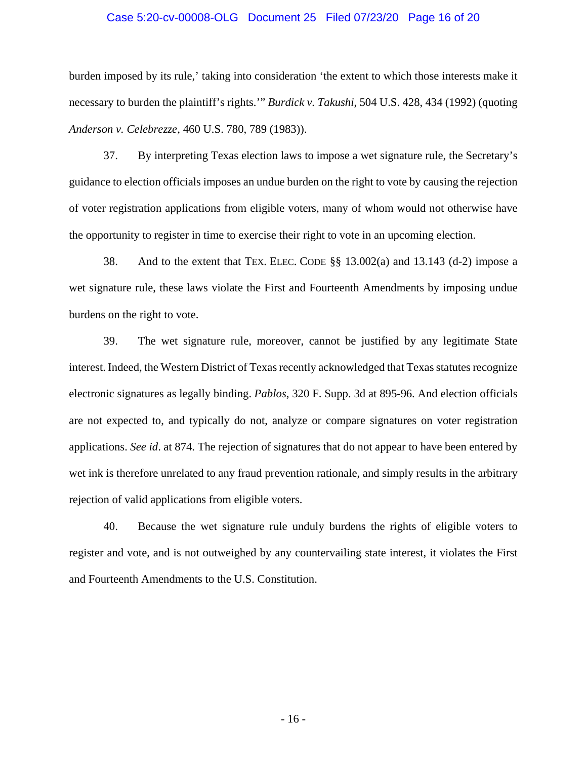#### Case 5:20-cv-00008-OLG Document 25 Filed 07/23/20 Page 16 of 20

burden imposed by its rule,' taking into consideration 'the extent to which those interests make it necessary to burden the plaintiff's rights.'" *Burdick v. Takushi*, 504 U.S. 428, 434 (1992) (quoting *Anderson v. Celebrezze*, 460 U.S. 780, 789 (1983)).

37. By interpreting Texas election laws to impose a wet signature rule, the Secretary's guidance to election officials imposes an undue burden on the right to vote by causing the rejection of voter registration applications from eligible voters, many of whom would not otherwise have the opportunity to register in time to exercise their right to vote in an upcoming election.

38. And to the extent that TEX. ELEC. CODE §§ 13.002(a) and 13.143 (d-2) impose a wet signature rule, these laws violate the First and Fourteenth Amendments by imposing undue burdens on the right to vote.

39. The wet signature rule, moreover, cannot be justified by any legitimate State interest. Indeed, the Western District of Texas recently acknowledged that Texas statutes recognize electronic signatures as legally binding. *Pablos*, 320 F. Supp. 3d at 895-96. And election officials are not expected to, and typically do not, analyze or compare signatures on voter registration applications. *See id*. at 874. The rejection of signatures that do not appear to have been entered by wet ink is therefore unrelated to any fraud prevention rationale, and simply results in the arbitrary rejection of valid applications from eligible voters.

40. Because the wet signature rule unduly burdens the rights of eligible voters to register and vote, and is not outweighed by any countervailing state interest, it violates the First and Fourteenth Amendments to the U.S. Constitution.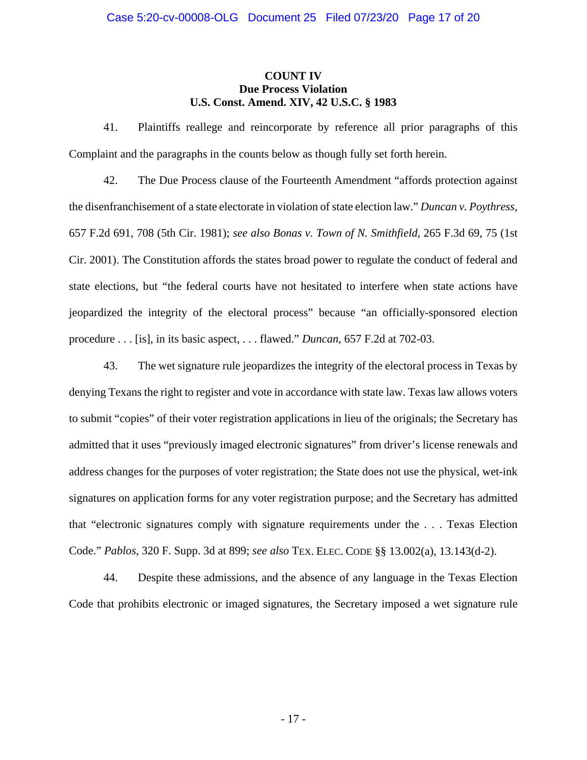### **COUNT IV Due Process Violation U.S. Const. Amend. XIV, 42 U.S.C. § 1983**

41. Plaintiffs reallege and reincorporate by reference all prior paragraphs of this Complaint and the paragraphs in the counts below as though fully set forth herein.

42. The Due Process clause of the Fourteenth Amendment "affords protection against the disenfranchisement of a state electorate in violation of state election law." *Duncan v. Poythress*, 657 F.2d 691, 708 (5th Cir. 1981); *see also Bonas v. Town of N. Smithfield*, 265 F.3d 69, 75 (1st Cir. 2001). The Constitution affords the states broad power to regulate the conduct of federal and state elections, but "the federal courts have not hesitated to interfere when state actions have jeopardized the integrity of the electoral process" because "an officially-sponsored election procedure . . . [is], in its basic aspect, . . . flawed." *Duncan*, 657 F.2d at 702-03.

43. The wet signature rule jeopardizes the integrity of the electoral process in Texas by denying Texans the right to register and vote in accordance with state law. Texas law allows voters to submit "copies" of their voter registration applications in lieu of the originals; the Secretary has admitted that it uses "previously imaged electronic signatures" from driver's license renewals and address changes for the purposes of voter registration; the State does not use the physical, wet-ink signatures on application forms for any voter registration purpose; and the Secretary has admitted that "electronic signatures comply with signature requirements under the . . . Texas Election Code." *Pablos*, 320 F. Supp. 3d at 899; *see also* TEX. ELEC. CODE §§ 13.002(a), 13.143(d-2).

44. Despite these admissions, and the absence of any language in the Texas Election Code that prohibits electronic or imaged signatures, the Secretary imposed a wet signature rule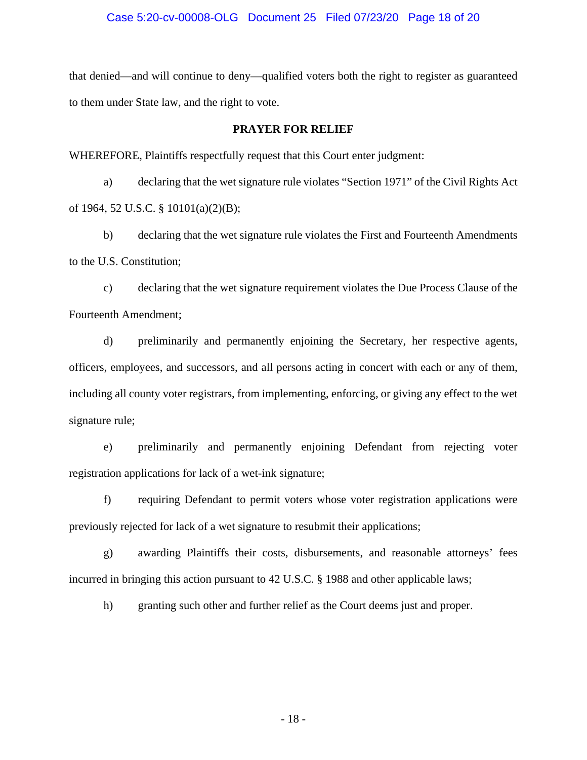#### Case 5:20-cv-00008-OLG Document 25 Filed 07/23/20 Page 18 of 20

that denied—and will continue to deny—qualified voters both the right to register as guaranteed to them under State law, and the right to vote.

#### **PRAYER FOR RELIEF**

WHEREFORE, Plaintiffs respectfully request that this Court enter judgment:

a) declaring that the wet signature rule violates "Section 1971" of the Civil Rights Act of 1964, 52 U.S.C. § 10101(a)(2)(B);

b) declaring that the wet signature rule violates the First and Fourteenth Amendments to the U.S. Constitution;

c) declaring that the wet signature requirement violates the Due Process Clause of the Fourteenth Amendment;

d) preliminarily and permanently enjoining the Secretary, her respective agents, officers, employees, and successors, and all persons acting in concert with each or any of them, including all county voter registrars, from implementing, enforcing, or giving any effect to the wet signature rule;

e) preliminarily and permanently enjoining Defendant from rejecting voter registration applications for lack of a wet-ink signature;

f) requiring Defendant to permit voters whose voter registration applications were previously rejected for lack of a wet signature to resubmit their applications;

g) awarding Plaintiffs their costs, disbursements, and reasonable attorneys' fees incurred in bringing this action pursuant to 42 U.S.C. § 1988 and other applicable laws;

h) granting such other and further relief as the Court deems just and proper.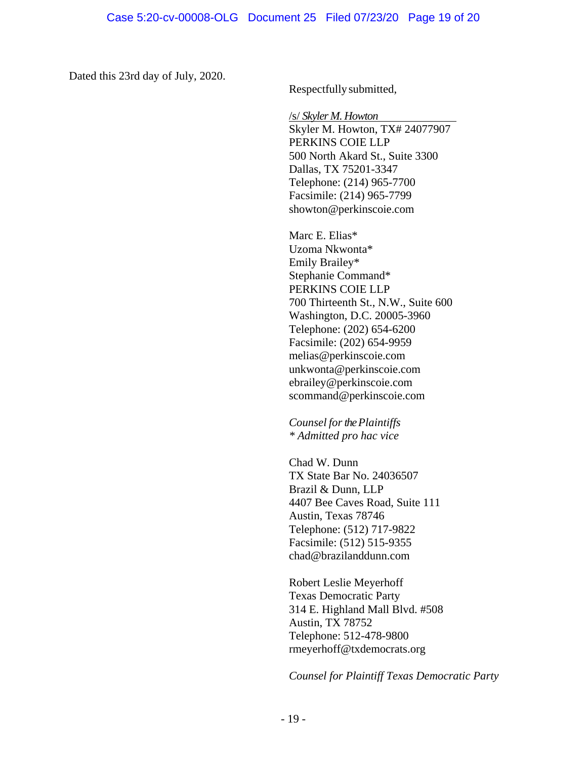Dated this 23rd day of July, 2020.

Respectfully submitted,

/s/ *Skyler M. Howton*

Skyler M. Howton, TX# 24077907 PERKINS COIE LLP 500 North Akard St., Suite 3300 Dallas, TX 75201-3347 Telephone: (214) 965-7700 Facsimile: (214) 965-7799 showton@perkinscoie.com

Marc E. Elias\* Uzoma Nkwonta\* Emily Brailey\* Stephanie Command\* PERKINS COIE LLP 700 Thirteenth St., N.W., Suite 600 Washington, D.C. 20005-3960 Telephone: (202) 654-6200 Facsimile: (202) 654-9959 melias@perkinscoie.com unkwonta@perkinscoie.com ebrailey@perkinscoie.com scommand@perkinscoie.com

*Counsel for the Plaintiffs \* Admitted pro hac vice* 

Chad W. Dunn TX State Bar No. 24036507 Brazil & Dunn, LLP 4407 Bee Caves Road, Suite 111 Austin, Texas 78746 Telephone: (512) 717-9822 Facsimile: (512) 515-9355 chad@brazilanddunn.com

Robert Leslie Meyerhoff Texas Democratic Party 314 E. Highland Mall Blvd. #508 Austin, TX 78752 Telephone: 512-478-9800 rmeyerhoff@txdemocrats.org

*Counsel for Plaintiff Texas Democratic Party*